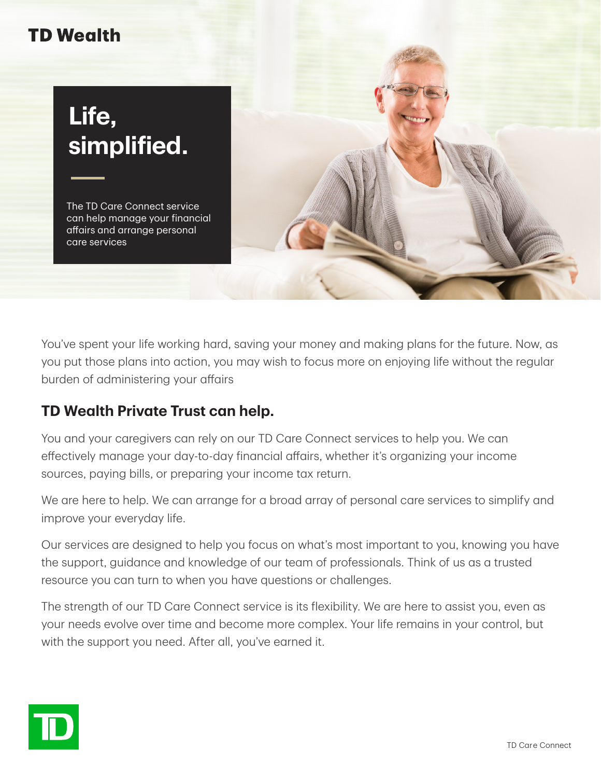## **TD Wealth**

## **Life, simplified.**

The TD Care Connect service can help manage your financial affairs and arrange personal care services



You've spent your life working hard, saving your money and making plans for the future. Now, as you put those plans into action, you may wish to focus more on enjoying life without the regular burden of administering your affairs

## **TD Wealth Private Trust can help.**

You and your caregivers can rely on our TD Care Connect services to help you. We can effectively manage your day-to-day financial affairs, whether it's organizing your income sources, paying bills, or preparing your income tax return.

We are here to help. We can arrange for a broad array of personal care services to simplify and improve your everyday life.

Our services are designed to help you focus on what's most important to you, knowing you have the support, guidance and knowledge of our team of professionals. Think of us as a trusted resource you can turn to when you have questions or challenges.

The strength of our TD Care Connect service is its flexibility. We are here to assist you, even as your needs evolve over time and become more complex. Your life remains in your control, but with the support you need. After all, you've earned it.